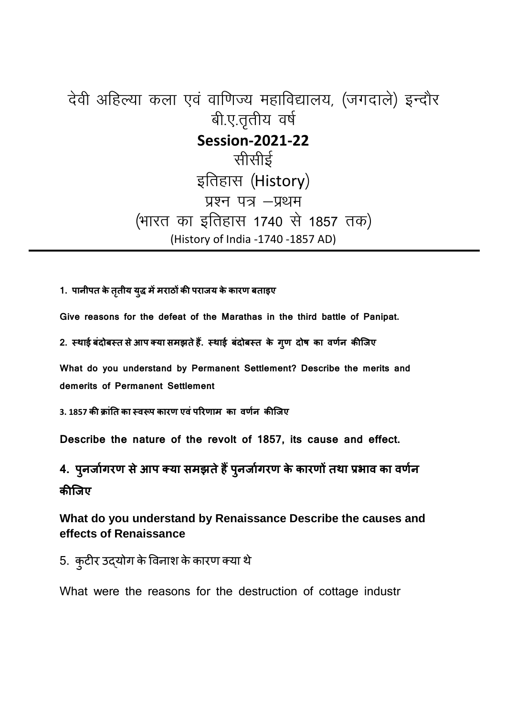## देवी अहिल्या कला एवं वाणिज्य महाविद्यालय, (जगदाले) इन्दौर बी.ए.तृतीय वर्ष **Session-2021-22** सीसीई इतिहास (History) प्रश्न पत्र - प्रथम (भारत का इतिहास 1740 से 1857 तक) (History of India -1740 -1857 AD)

**1. पानीपत केततीय ृ यु ममराठ क पराजय केकारण बताइए** 

**Give reasons for the defeat of the Marathas in the third battle of Panipat.** 

2. स्थाई बंदोबस्त से आप क्या समझते हैं. स्थाई बंदोबस्त के गुण दोष का वर्णन कीजिए

**What do you understand by Permanent Settlement? Describe the merits and demerits of Permanent Settlement** 

**3. 1857 क FांGत का -वHप कारण एवंपIरणाम का वण<न किजए** 

**Describe the nature of the revolt of 1857, its cause and effect.** 

**4. पुनजोगरण से आप क्या समझते हैं पुनजोगरण के कारणो तथा प्रभाव का वर्णन किजए**

**What do you understand by Renaissance Describe the causes and effects of Renaissance** 

5. कुटीर उद्योग के विनाश के कारण क्या थे

What were the reasons for the destruction of cottage industr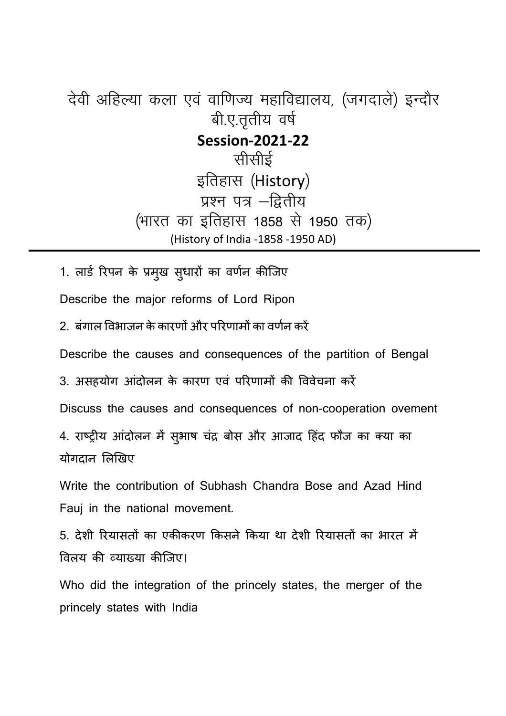देवी अहिल्या कला एवं वाणिज्य महाविद्यालय, (जगदाले) इन्दौर बी.ए.तृतीय वर्ष **Session-2021-22** सीर्सीई इतिहास (History) प्रश्न पत्र -द्वितीय (भारत का इतिहास 1858 से 1950 तक) (History of India -1858 -1950 AD)

1. लार्ड रिपन के प्रमुख सुधारों का वर्णन कीजिए

Describe the major reforms of Lord Ripon

 $2$  बंगाल विभाजन के कारणों और परिणामों का वर्णन करें

Describe the causes and consequences of the partition of Bengal

3. असहयोग आंदोलन के कारण एवं परिणामों की विवेचना करें

Discuss the causes and consequences of non-cooperation ovement

4. राष्ट्रीय आंदोलन में सुभाष चंद्र बोस और आजाद हिंद फौज का क्या का योगदान लिखिए

Write the contribution of Subhash Chandra Bose and Azad Hind Fauj in the national movement.

5. देशी रियासतों का एकीकरण किसने किया था देशी रियासतों का भारत में विलय की व्याख्या कीजिए।

Who did the integration of the princely states, the merger of the princely states with India